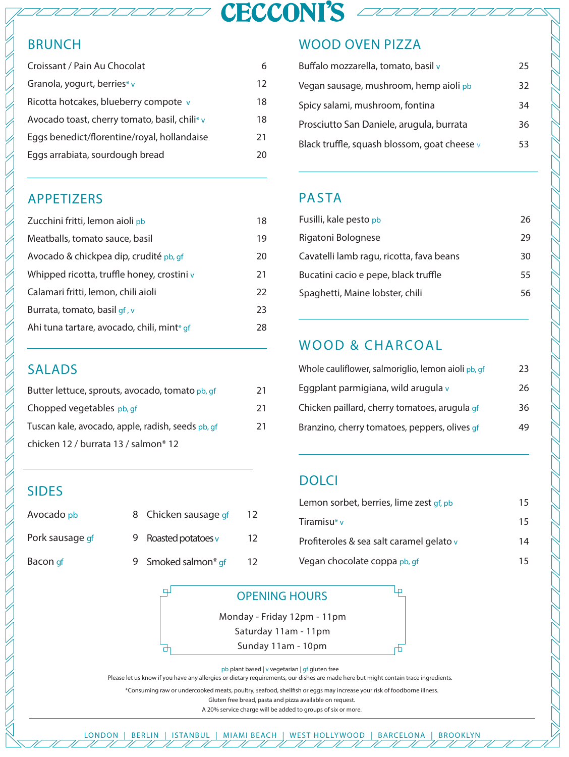# **CECCONI'S 4**

# BRUNCH

| Croissant / Pain Au Chocolat                  | 6  |
|-----------------------------------------------|----|
| Granola, yogurt, berries* v                   | 12 |
| Ricotta hotcakes, blueberry compote v         | 18 |
| Avocado toast, cherry tomato, basil, chili* v | 18 |
| Eggs benedict/florentine/royal, hollandaise   | 21 |
| Eggs arrabiata, sourdough bread               | 20 |
|                                               |    |

# APPETIZERS

| Zucchini fritti, lemon aioli pb                | 18 |
|------------------------------------------------|----|
| Meatballs, tomato sauce, basil                 | 19 |
| Avocado & chickpea dip, crudité pb, gf         | 20 |
| Whipped ricotta, truffle honey, crostini $\nu$ | 21 |
| Calamari fritti, lemon, chili aioli            | 22 |
| Burrata, tomato, basil gf, v                   | 23 |
| Ahi tuna tartare, avocado, chili, mint* gf     | 28 |
|                                                |    |

## SALADS

| Butter lettuce, sprouts, avocado, tomato pb, qf   | 21 |
|---------------------------------------------------|----|
| Chopped vegetables pb, gf                         | 21 |
| Tuscan kale, avocado, apple, radish, seeds pb, gf | 21 |
| chicken 12 / burrata 13 / salmon* 12              |    |

# SIDES

| Avocado pb |  |
|------------|--|

Bacon gf

| Avocado pb                 | 8 Chicken sausage of | 12 |
|----------------------------|----------------------|----|
| Pork sausage <sub>df</sub> | Roasted potatoes v   | 12 |
| Bacon <sub>d</sub> f       | Smoked salmon* gf    | 12 |

்ப

H

## WOOD OVEN PIZZA

| Buffalo mozzarella, tomato, basil v          | 25 |
|----------------------------------------------|----|
| Vegan sausage, mushroom, hemp aioli pb       | 32 |
| Spicy salami, mushroom, fontina              | 34 |
| Prosciutto San Daniele, arugula, burrata     | 36 |
| Black truffle, squash blossom, goat cheese v | 53 |

## PASTA

| Fusilli, kale pesto pb                   | 26 |
|------------------------------------------|----|
| Rigatoni Bolognese                       | 29 |
| Cavatelli lamb ragu, ricotta, fava beans | 30 |
| Bucatini cacio e pepe, black truffle     | 55 |
| Spaghetti, Maine lobster, chili          | 56 |

# WOOD & CHARCOAL

| Whole cauliflower, salmoriglio, lemon aioli pb, qf | 23 |
|----------------------------------------------------|----|
| Eggplant parmigiana, wild arugula v                | 26 |
| Chicken paillard, cherry tomatoes, arugula gf      | 36 |
| Branzino, cherry tomatoes, peppers, olives gf      | 49 |

## **DOLCI**

| Lemon sorbet, berries, lime zest gf, pb  | 15 |
|------------------------------------------|----|
| Tiramisu* v                              | 15 |
| Profiteroles & sea salt caramel gelato v | 14 |
| Vegan chocolate coppa <sub>Pb, gf</sub>  | 15 |

لبا

舌

| <b>OPENING HOURS</b>        |
|-----------------------------|
| Monday - Friday 12pm - 11pm |
| Saturday 11am - 11pm        |
| Sunday 11am - 10pm          |

pb plant based | v vegetarian | gf gluten free

Please let us know if you have any allergies or dietary requirements, our dishes are made here but might contain trace ingredients.

\*Consuming raw or undercooked meats, poultry, seafood, shellfish or eggs may increase your risk of foodborne illness.

Gluten free bread, pasta and pizza available on request.

A 20% service charge will be added to groups of six or more.